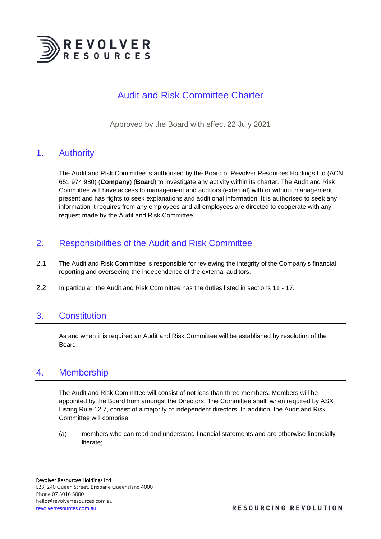

# Audit and Risk Committee Charter

Approved by the Board with effect 22 July 2021

## 1. Authority

The Audit and Risk Committee is authorised by the Board of Revolver Resources Holdings Ltd (ACN 651 974 980) (**Company**) (**Board**) to investigate any activity within its charter. The Audit and Risk Committee will have access to management and auditors (external) with or without management present and has rights to seek explanations and additional information. It is authorised to seek any information it requires from any employees and all employees are directed to cooperate with any request made by the Audit and Risk Committee.

## 2. Responsibilities of the Audit and Risk Committee

- 2.1 The Audit and Risk Committee is responsible for reviewing the integrity of the Company's financial reporting and overseeing the independence of the external auditors.
- 2.2 In particular, the Audit and Risk Committee has the duties listed in sections 11 17.

## 3. Constitution

As and when it is required an Audit and Risk Committee will be established by resolution of the Board.

## 4. Membership

The Audit and Risk Committee will consist of not less than three members. Members will be appointed by the Board from amongst the Directors. The Committee shall, when required by ASX Listing Rule 12.7, consist of a majority of independent directors. In addition, the Audit and Risk Committee will comprise:

(a) members who can read and understand financial statements and are otherwise financially literate;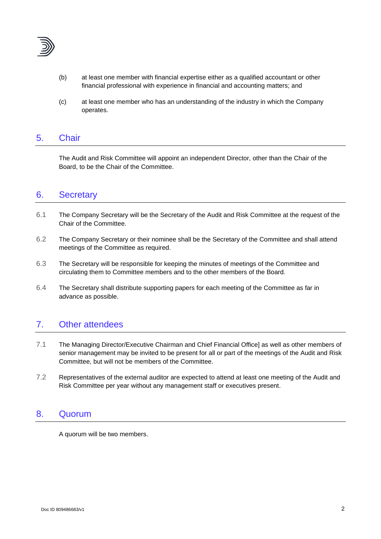

- (b) at least one member with financial expertise either as a qualified accountant or other financial professional with experience in financial and accounting matters; and
- (c) at least one member who has an understanding of the industry in which the Company operates.

### 5. Chair

The Audit and Risk Committee will appoint an independent Director, other than the Chair of the Board, to be the Chair of the Committee.

#### 6. Secretary

- 6.1 The Company Secretary will be the Secretary of the Audit and Risk Committee at the request of the Chair of the Committee.
- 6.2 The Company Secretary or their nominee shall be the Secretary of the Committee and shall attend meetings of the Committee as required.
- 6.3 The Secretary will be responsible for keeping the minutes of meetings of the Committee and circulating them to Committee members and to the other members of the Board.
- 6.4 The Secretary shall distribute supporting papers for each meeting of the Committee as far in advance as possible.

### 7. Other attendees

- 7.1 The Managing Director/Executive Chairman and Chief Financial Office] as well as other members of senior management may be invited to be present for all or part of the meetings of the Audit and Risk Committee, but will not be members of the Committee.
- 7.2 Representatives of the external auditor are expected to attend at least one meeting of the Audit and Risk Committee per year without any management staff or executives present.

#### 8. Quorum

A quorum will be two members.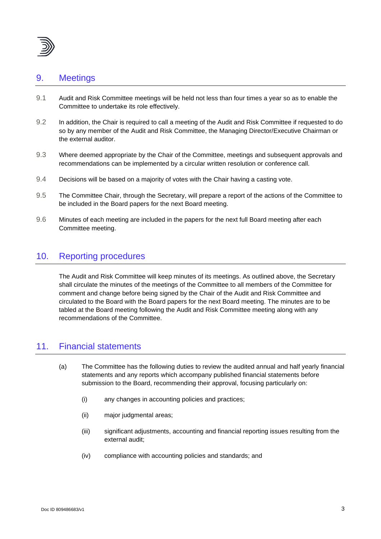

### 9. Meetings

- 9.1 Audit and Risk Committee meetings will be held not less than four times a year so as to enable the Committee to undertake its role effectively.
- 9.2 In addition, the Chair is required to call a meeting of the Audit and Risk Committee if requested to do so by any member of the Audit and Risk Committee, the Managing Director/Executive Chairman or the external auditor.
- 9.3 Where deemed appropriate by the Chair of the Committee, meetings and subsequent approvals and recommendations can be implemented by a circular written resolution or conference call.
- 9.4 Decisions will be based on a majority of votes with the Chair having a casting vote.
- 9.5 The Committee Chair, through the Secretary, will prepare a report of the actions of the Committee to be included in the Board papers for the next Board meeting.
- 9.6 Minutes of each meeting are included in the papers for the next full Board meeting after each Committee meeting.

### 10. Reporting procedures

The Audit and Risk Committee will keep minutes of its meetings. As outlined above, the Secretary shall circulate the minutes of the meetings of the Committee to all members of the Committee for comment and change before being signed by the Chair of the Audit and Risk Committee and circulated to the Board with the Board papers for the next Board meeting. The minutes are to be tabled at the Board meeting following the Audit and Risk Committee meeting along with any recommendations of the Committee.

### 11. Financial statements

- (a) The Committee has the following duties to review the audited annual and half yearly financial statements and any reports which accompany published financial statements before submission to the Board, recommending their approval, focusing particularly on:
	- (i) any changes in accounting policies and practices;
	- (ii) major judgmental areas;
	- (iii) significant adjustments, accounting and financial reporting issues resulting from the external audit;
	- (iv) compliance with accounting policies and standards; and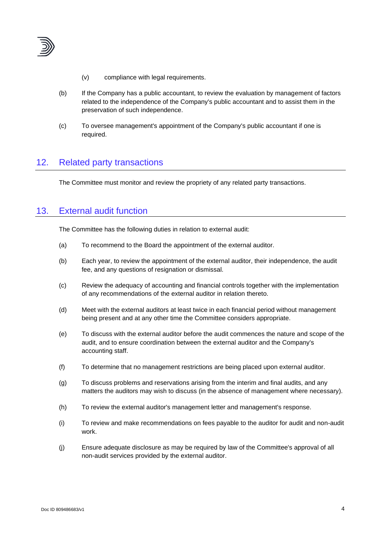

- (v) compliance with legal requirements.
- (b) If the Company has a public accountant, to review the evaluation by management of factors related to the independence of the Company's public accountant and to assist them in the preservation of such independence.
- (c) To oversee management's appointment of the Company's public accountant if one is required.

### 12. Related party transactions

The Committee must monitor and review the propriety of any related party transactions.

#### 13. External audit function

The Committee has the following duties in relation to external audit:

- (a) To recommend to the Board the appointment of the external auditor.
- (b) Each year, to review the appointment of the external auditor, their independence, the audit fee, and any questions of resignation or dismissal.
- (c) Review the adequacy of accounting and financial controls together with the implementation of any recommendations of the external auditor in relation thereto.
- (d) Meet with the external auditors at least twice in each financial period without management being present and at any other time the Committee considers appropriate.
- (e) To discuss with the external auditor before the audit commences the nature and scope of the audit, and to ensure coordination between the external auditor and the Company's accounting staff.
- (f) To determine that no management restrictions are being placed upon external auditor.
- (g) To discuss problems and reservations arising from the interim and final audits, and any matters the auditors may wish to discuss (in the absence of management where necessary).
- (h) To review the external auditor's management letter and management's response.
- (i) To review and make recommendations on fees payable to the auditor for audit and non-audit work.
- (j) Ensure adequate disclosure as may be required by law of the Committee's approval of all non-audit services provided by the external auditor.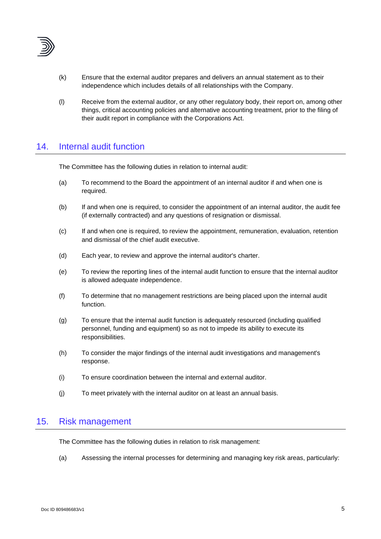

- (k) Ensure that the external auditor prepares and delivers an annual statement as to their independence which includes details of all relationships with the Company.
- (l) Receive from the external auditor, or any other regulatory body, their report on, among other things, critical accounting policies and alternative accounting treatment, prior to the filing of their audit report in compliance with the Corporations Act.

## 14. Internal audit function

The Committee has the following duties in relation to internal audit:

- (a) To recommend to the Board the appointment of an internal auditor if and when one is required.
- (b) If and when one is required, to consider the appointment of an internal auditor, the audit fee (if externally contracted) and any questions of resignation or dismissal.
- (c) If and when one is required, to review the appointment, remuneration, evaluation, retention and dismissal of the chief audit executive.
- (d) Each year, to review and approve the internal auditor's charter.
- (e) To review the reporting lines of the internal audit function to ensure that the internal auditor is allowed adequate independence.
- (f) To determine that no management restrictions are being placed upon the internal audit function.
- (g) To ensure that the internal audit function is adequately resourced (including qualified personnel, funding and equipment) so as not to impede its ability to execute its responsibilities.
- (h) To consider the major findings of the internal audit investigations and management's response.
- (i) To ensure coordination between the internal and external auditor.
- (j) To meet privately with the internal auditor on at least an annual basis.

#### 15. Risk management

The Committee has the following duties in relation to risk management:

(a) Assessing the internal processes for determining and managing key risk areas, particularly: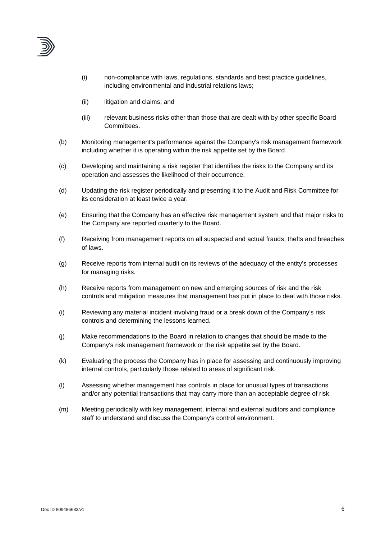

- (i) non-compliance with laws, regulations, standards and best practice guidelines, including environmental and industrial relations laws;
- (ii) litigation and claims; and
- (iii) relevant business risks other than those that are dealt with by other specific Board Committees.
- (b) Monitoring management's performance against the Company's risk management framework including whether it is operating within the risk appetite set by the Board.
- (c) Developing and maintaining a risk register that identifies the risks to the Company and its operation and assesses the likelihood of their occurrence.
- (d) Updating the risk register periodically and presenting it to the Audit and Risk Committee for its consideration at least twice a year.
- (e) Ensuring that the Company has an effective risk management system and that major risks to the Company are reported quarterly to the Board.
- (f) Receiving from management reports on all suspected and actual frauds, thefts and breaches of laws.
- (g) Receive reports from internal audit on its reviews of the adequacy of the entity's processes for managing risks.
- (h) Receive reports from management on new and emerging sources of risk and the risk controls and mitigation measures that management has put in place to deal with those risks.
- (i) Reviewing any material incident involving fraud or a break down of the Company's risk controls and determining the lessons learned.
- (j) Make recommendations to the Board in relation to changes that should be made to the Company's risk management framework or the risk appetite set by the Board.
- (k) Evaluating the process the Company has in place for assessing and continuously improving internal controls, particularly those related to areas of significant risk.
- (l) Assessing whether management has controls in place for unusual types of transactions and/or any potential transactions that may carry more than an acceptable degree of risk.
- (m) Meeting periodically with key management, internal and external auditors and compliance staff to understand and discuss the Company's control environment.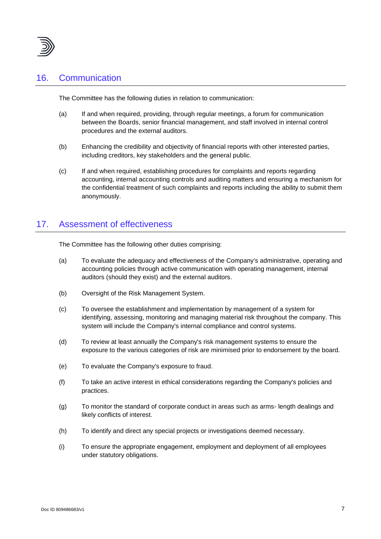

### 16. Communication

The Committee has the following duties in relation to communication:

- (a) If and when required, providing, through regular meetings, a forum for communication between the Boards, senior financial management, and staff involved in internal control procedures and the external auditors.
- (b) Enhancing the credibility and objectivity of financial reports with other interested parties, including creditors, key stakeholders and the general public.
- (c) If and when required, establishing procedures for complaints and reports regarding accounting, internal accounting controls and auditing matters and ensuring a mechanism for the confidential treatment of such complaints and reports including the ability to submit them anonymously.

#### 17. Assessment of effectiveness

The Committee has the following other duties comprising:

- (a) To evaluate the adequacy and effectiveness of the Company's administrative, operating and accounting policies through active communication with operating management, internal auditors (should they exist) and the external auditors.
- (b) Oversight of the Risk Management System.
- (c) To oversee the establishment and implementation by management of a system for identifying, assessing, monitoring and managing material risk throughout the company. This system will include the Company's internal compliance and control systems.
- (d) To review at least annually the Company's risk management systems to ensure the exposure to the various categories of risk are minimised prior to endorsement by the board.
- (e) To evaluate the Company's exposure to fraud.
- (f) To take an active interest in ethical considerations regarding the Company's policies and practices.
- (g) To monitor the standard of corporate conduct in areas such as arms- length dealings and likely conflicts of interest.
- (h) To identify and direct any special projects or investigations deemed necessary.
- (i) To ensure the appropriate engagement, employment and deployment of all employees under statutory obligations.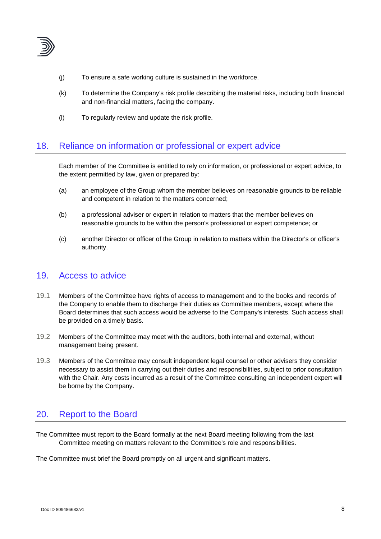

- (j) To ensure a safe working culture is sustained in the workforce.
- (k) To determine the Company's risk profile describing the material risks, including both financial and non-financial matters, facing the company.
- (l) To regularly review and update the risk profile.

### 18. Reliance on information or professional or expert advice

Each member of the Committee is entitled to rely on information, or professional or expert advice, to the extent permitted by law, given or prepared by:

- (a) an employee of the Group whom the member believes on reasonable grounds to be reliable and competent in relation to the matters concerned;
- (b) a professional adviser or expert in relation to matters that the member believes on reasonable grounds to be within the person's professional or expert competence; or
- (c) another Director or officer of the Group in relation to matters within the Director's or officer's authority.

#### 19. Access to advice

- 19.1 Members of the Committee have rights of access to management and to the books and records of the Company to enable them to discharge their duties as Committee members, except where the Board determines that such access would be adverse to the Company's interests. Such access shall be provided on a timely basis.
- 19.2 Members of the Committee may meet with the auditors, both internal and external, without management being present.
- 19.3 Members of the Committee may consult independent legal counsel or other advisers they consider necessary to assist them in carrying out their duties and responsibilities, subject to prior consultation with the Chair. Any costs incurred as a result of the Committee consulting an independent expert will be borne by the Company.

## 20. Report to the Board

The Committee must report to the Board formally at the next Board meeting following from the last Committee meeting on matters relevant to the Committee's role and responsibilities.

The Committee must brief the Board promptly on all urgent and significant matters.